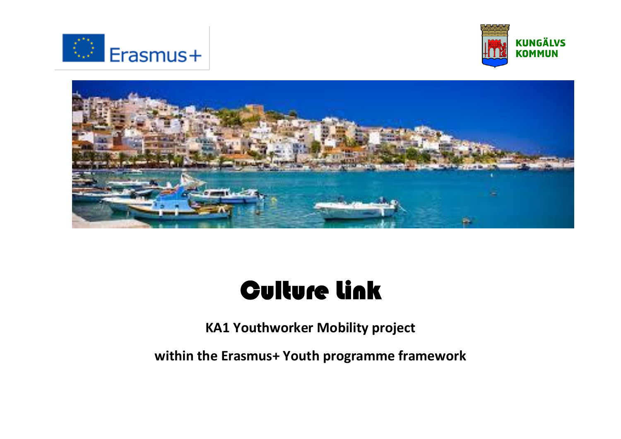





# Culture Link

**KA1 Youthworker Mobility project** 

**within the Erasmus+ Youth programme framework**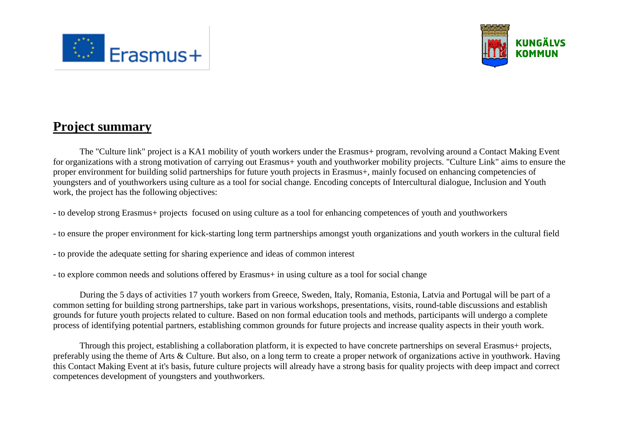



# **Project summary**

The "Culture link" project is a KA1 mobility of youth workers under the Erasmus+ program, revolving around a Contact Making Event for organizations with a strong motivation of carrying out Erasmus+ youth and youthworker mobility projects. "Culture Link" aims to ensure the proper environment for building solid partnerships for future youth projects in Erasmus+, mainly focused on enhancing competencies of youngsters and of youthworkers using culture as a tool for social change. Encoding concepts of Intercultural dialogue, Inclusion and Youth work, the project has the following objectives:

- to develop strong Erasmus+ projects focused on using culture as a tool for enhancing competences of youth and youthworkers
- to ensure the proper environment for kick-starting long term partnerships amongst youth organizations and youth workers in the cultural field
- to provide the adequate setting for sharing experience and ideas of common interest
- to explore common needs and solutions offered by Erasmus+ in using culture as a tool for social change

During the 5 days of activities 17 youth workers from Greece, Sweden, Italy, Romania, Estonia, Latvia and Portugal will be part of a common setting for building strong partnerships, take part in various workshops, presentations, visits, round-table discussions and establish grounds for future youth projects related to culture. Based on non formal education tools and methods, participants will undergo a complete process of identifying potential partners, establishing common grounds for future projects and increase quality aspects in their youth work.

Through this project, establishing a collaboration platform, it is expected to have concrete partnerships on several Erasmus+ projects, preferably using the theme of Arts & Culture. But also, on a long term to create a proper network of organizations active in youthwork. Having this Contact Making Event at it's basis, future culture projects will already have a strong basis for quality projects with deep impact and correct competences development of youngsters and youthworkers.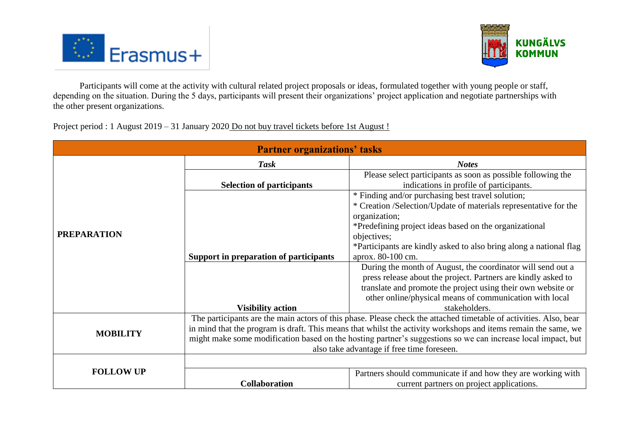



Participants will come at the activity with cultural related project proposals or ideas, formulated together with young people or staff, depending on the situation. During the 5 days, participants will present their organizations' project application and negotiate partnerships with the other present organizations.

Project period : 1 August 2019 – 31 January 2020 Do not buy travel tickets before 1st August !

| <b>Partner organizations' tasks</b> |                                                                                                                                                                                                                                                                                                                                                                                                   |                                                                                                                                             |  |  |
|-------------------------------------|---------------------------------------------------------------------------------------------------------------------------------------------------------------------------------------------------------------------------------------------------------------------------------------------------------------------------------------------------------------------------------------------------|---------------------------------------------------------------------------------------------------------------------------------------------|--|--|
|                                     | <b>Task</b>                                                                                                                                                                                                                                                                                                                                                                                       | <b>Notes</b>                                                                                                                                |  |  |
| <b>PREPARATION</b>                  | <b>Selection of participants</b>                                                                                                                                                                                                                                                                                                                                                                  | Please select participants as soon as possible following the<br>indications in profile of participants.                                     |  |  |
|                                     |                                                                                                                                                                                                                                                                                                                                                                                                   | * Finding and/or purchasing best travel solution;<br>* Creation /Selection/Update of materials representative for the<br>organization;      |  |  |
|                                     |                                                                                                                                                                                                                                                                                                                                                                                                   | *Predefining project ideas based on the organizational<br>objectives;<br>*Participants are kindly asked to also bring along a national flag |  |  |
|                                     | Support in preparation of participants                                                                                                                                                                                                                                                                                                                                                            | aprox. 80-100 cm.                                                                                                                           |  |  |
|                                     |                                                                                                                                                                                                                                                                                                                                                                                                   | During the month of August, the coordinator will send out a<br>press release about the project. Partners are kindly asked to                |  |  |
|                                     |                                                                                                                                                                                                                                                                                                                                                                                                   | translate and promote the project using their own website or<br>other online/physical means of communication with local                     |  |  |
|                                     | <b>Visibility action</b>                                                                                                                                                                                                                                                                                                                                                                          | stakeholders.                                                                                                                               |  |  |
| <b>MOBILITY</b>                     | The participants are the main actors of this phase. Please check the attached timetable of activities. Also, bear<br>in mind that the program is draft. This means that whilst the activity workshops and items remain the same, we<br>might make some modification based on the hosting partner's suggestions so we can increase local impact, but<br>also take advantage if free time foreseen. |                                                                                                                                             |  |  |
|                                     |                                                                                                                                                                                                                                                                                                                                                                                                   |                                                                                                                                             |  |  |
| <b>FOLLOW UP</b>                    | <b>Collaboration</b>                                                                                                                                                                                                                                                                                                                                                                              | Partners should communicate if and how they are working with<br>current partners on project applications.                                   |  |  |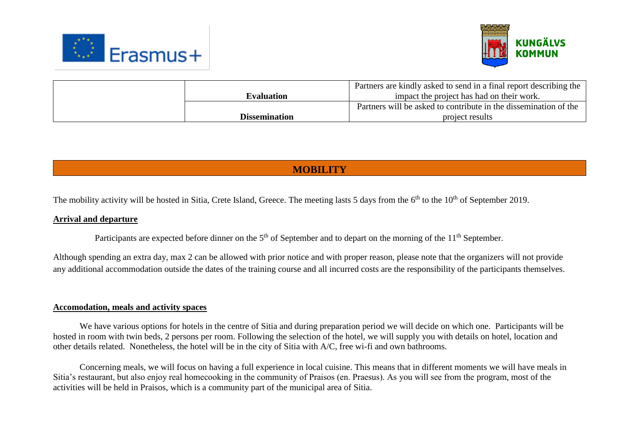



| <b>Dissemination</b> | project results                                                    |
|----------------------|--------------------------------------------------------------------|
|                      | Partners will be asked to contribute in the dissemination of the   |
| <b>Evaluation</b>    | impact the project has had on their work.                          |
|                      | Partners are kindly asked to send in a final report describing the |

## **MOBILITY**

The mobility activity will be hosted in Sitia, Crete Island, Greece. The meeting lasts 5 days from the 6<sup>th</sup> to the 10<sup>th</sup> of September 2019.

#### **Arrival and departure**

Participants are expected before dinner on the  $5<sup>th</sup>$  of September and to depart on the morning of the  $11<sup>th</sup>$  September.

Although spending an extra day, max 2 can be allowed with prior notice and with proper reason, please note that the organizers will not provide any additional accommodation outside the dates of the training course and all incurred costs are the responsibility of the participants themselves.

#### **Accomodation, meals and activity spaces**

We have various options for hotels in the centre of Sitia and during preparation period we will decide on which one. Participants will be hosted in room with twin beds, 2 persons per room. Following the selection of the hotel, we will supply you with details on hotel, location and other details related. Nonetheless, the hotel will be in the city of Sitia with A/C, free wi-fi and own bathrooms.

Concerning meals, we will focus on having a full experience in local cuisine. This means that in different moments we will have meals in Sitia's restaurant, but also enjoy real homecooking in the community of Praisos (en. Praesus). As you will see from the program, most of the activities will be held in Praisos, which is a community part of the municipal area of Sitia.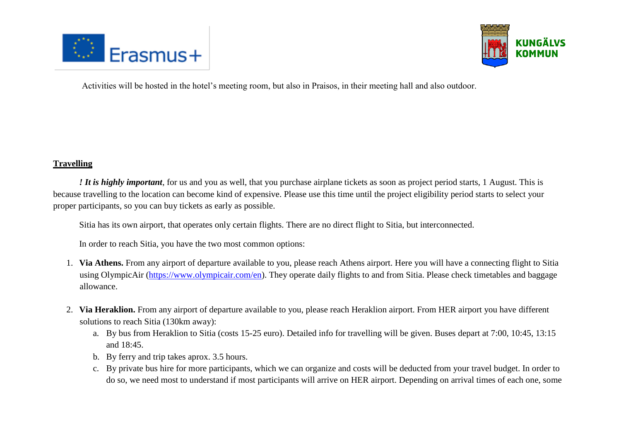



Activities will be hosted in the hotel's meeting room, but also in Praisos, in their meeting hall and also outdoor.

#### **Travelling**

*! It is highly important*, for us and you as well, that you purchase airplane tickets as soon as project period starts, 1 August. This is because travelling to the location can become kind of expensive. Please use this time until the project eligibility period starts to select your proper participants, so you can buy tickets as early as possible.

Sitia has its own airport, that operates only certain flights. There are no direct flight to Sitia, but interconnected.

In order to reach Sitia, you have the two most common options:

- 1. **Via Athens.** From any airport of departure available to you, please reach Athens airport. Here you will have a connecting flight to Sitia using OlympicAir [\(https://www.olympicair.com/en\)](https://www.olympicair.com/en). They operate daily flights to and from Sitia. Please check timetables and baggage allowance.
- 2. **Via Heraklion.** From any airport of departure available to you, please reach Heraklion airport. From HER airport you have different solutions to reach Sitia (130km away):
	- a. By bus from Heraklion to Sitia (costs 15-25 euro). Detailed info for travelling will be given. Buses depart at 7:00, 10:45, 13:15 and 18:45.
	- b. By ferry and trip takes aprox. 3.5 hours.
	- c. By private bus hire for more participants, which we can organize and costs will be deducted from your travel budget. In order to do so, we need most to understand if most participants will arrive on HER airport. Depending on arrival times of each one, some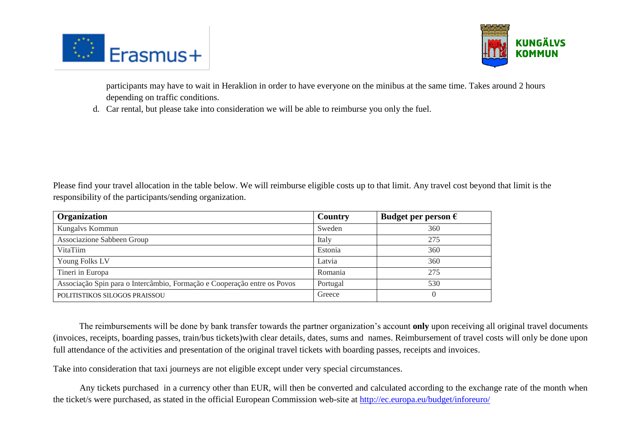



participants may have to wait in Heraklion in order to have everyone on the minibus at the same time. Takes around 2 hours depending on traffic conditions.

d. Car rental, but please take into consideration we will be able to reimburse you only the fuel.

Please find your travel allocation in the table below. We will reimburse eligible costs up to that limit. Any travel cost beyond that limit is the responsibility of the participants/sending organization.

| Organization                                                             | Country  | Budget per person $\epsilon$ |
|--------------------------------------------------------------------------|----------|------------------------------|
| Kungalvs Kommun                                                          | Sweden   | 360                          |
| Associazione Sabbeen Group                                               | Italy    | 275                          |
| VitaTiim                                                                 | Estonia  | 360                          |
| Young Folks LV                                                           | Latvia   | 360                          |
| Tineri in Europa                                                         | Romania  | 275                          |
| Associação Spin para o Intercâmbio, Formação e Cooperação entre os Povos | Portugal | 530                          |
| POLITISTIKOS SILOGOS PRAISSOU                                            | Greece   |                              |

The reimbursements will be done by bank transfer towards the partner organization's account **only** upon receiving all original travel documents (invoices, receipts, boarding passes, train/bus tickets)with clear details, dates, sums and names. Reimbursement of travel costs will only be done upon full attendance of the activities and presentation of the original travel tickets with boarding passes, receipts and invoices.

Take into consideration that taxi journeys are not eligible except under very special circumstances.

Any tickets purchased in a currency other than EUR, will then be converted and calculated according to the exchange rate of the month when the ticket/s were purchased, as stated in the official European Commission web-site at<http://ec.europa.eu/budget/inforeuro/>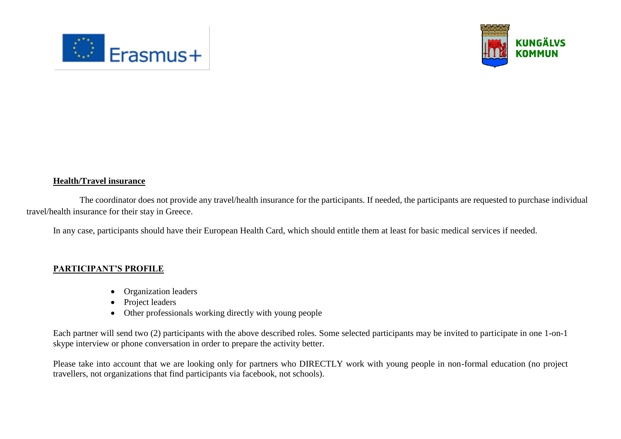



#### **Health/Travel insurance**

The coordinator does not provide any travel/health insurance for the participants. If needed, the participants are requested to purchase individual travel/health insurance for their stay in Greece.

In any case, participants should have their European Health Card, which should entitle them at least for basic medical services if needed.

#### **PARTICIPANT'S PROFILE**

- Organization leaders
- Project leaders
- Other professionals working directly with young people

Each partner will send two (2) participants with the above described roles. Some selected participants may be invited to participate in one 1-on-1 skype interview or phone conversation in order to prepare the activity better.

Please take into account that we are looking only for partners who DIRECTLY work with young people in non-formal education (no project travellers, not organizations that find participants via facebook, not schools).